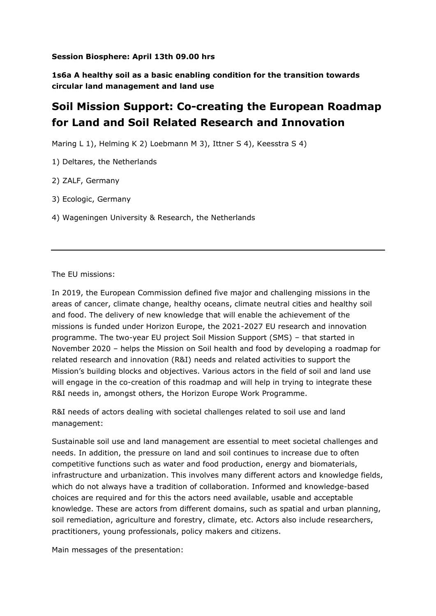## **Session Biosphere: April 13th 09.00 hrs**

**1s6a A healthy soil as a basic enabling condition for the transition towards circular land management and land use**

## **Soil Mission Support: Co-creating the European Roadmap for Land and Soil Related Research and Innovation**

Maring L 1), Helming K 2) Loebmann M 3), Ittner S 4), Keesstra S 4)

1) Deltares, the Netherlands

2) ZALF, Germany

3) Ecologic, Germany

4) Wageningen University & Research, the Netherlands

The EU missions:

In 2019, the European Commission defined five major and challenging missions in the areas of cancer, climate change, healthy oceans, climate neutral cities and healthy soil and food. The delivery of new knowledge that will enable the achievement of the missions is funded under Horizon Europe, the 2021-2027 EU research and innovation programme. The two-year EU project Soil Mission Support (SMS) – that started in November 2020 – helps the Mission on Soil health and food by developing a roadmap for related research and innovation (R&I) needs and related activities to support the Mission's building blocks and objectives. Various actors in the field of soil and land use will engage in the co-creation of this roadmap and will help in trying to integrate these R&I needs in, amongst others, the Horizon Europe Work Programme.

R&I needs of actors dealing with societal challenges related to soil use and land management:

Sustainable soil use and land management are essential to meet societal challenges and needs. In addition, the pressure on land and soil continues to increase due to often competitive functions such as water and food production, energy and biomaterials, infrastructure and urbanization. This involves many different actors and knowledge fields, which do not always have a tradition of collaboration. Informed and knowledge-based choices are required and for this the actors need available, usable and acceptable knowledge. These are actors from different domains, such as spatial and urban planning, soil remediation, agriculture and forestry, climate, etc. Actors also include researchers, practitioners, young professionals, policy makers and citizens.

Main messages of the presentation: